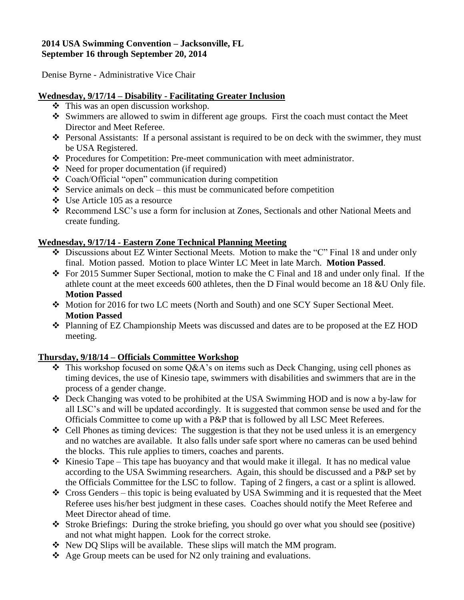#### **2014 USA Swimming Convention – Jacksonville, FL September 16 through September 20, 2014**

Denise Byrne - Administrative Vice Chair

### **Wednesday, 9/17/14 – Disability - Facilitating Greater Inclusion**

- $\triangle$  This was an open discussion workshop.
- Swimmers are allowed to swim in different age groups. First the coach must contact the Meet Director and Meet Referee.
- Personal Assistants: If a personal assistant is required to be on deck with the swimmer, they must be USA Registered.
- Procedures for Competition: Pre-meet communication with meet administrator.
- Need for proper documentation (if required)
- Coach/Official "open" communication during competition
- Service animals on deck this must be communicated before competition
- Use Article 105 as a resource
- Recommend LSC's use a form for inclusion at Zones, Sectionals and other National Meets and create funding.

# **Wednesday, 9/17/14 - Eastern Zone Technical Planning Meeting**

- Discussions about EZ Winter Sectional Meets. Motion to make the "C" Final 18 and under only final. Motion passed. Motion to place Winter LC Meet in late March. **Motion Passed**.
- For 2015 Summer Super Sectional, motion to make the C Final and 18 and under only final. If the athlete count at the meet exceeds 600 athletes, then the D Final would become an 18 &U Only file. **Motion Passed**
- Motion for 2016 for two LC meets (North and South) and one SCY Super Sectional Meet. **Motion Passed**
- Planning of EZ Championship Meets was discussed and dates are to be proposed at the EZ HOD meeting.

# **Thursday, 9/18/14 – Officials Committee Workshop**

- $\triangle$  This workshop focused on some Q&A's on items such as Deck Changing, using cell phones as timing devices, the use of Kinesio tape, swimmers with disabilities and swimmers that are in the process of a gender change.
- Deck Changing was voted to be prohibited at the USA Swimming HOD and is now a by-law for all LSC's and will be updated accordingly. It is suggested that common sense be used and for the Officials Committee to come up with a P&P that is followed by all LSC Meet Referees.
- $\triangleleft$  Cell Phones as timing devices: The suggestion is that they not be used unless it is an emergency and no watches are available. It also falls under safe sport where no cameras can be used behind the blocks. This rule applies to timers, coaches and parents.
- $\hat{\mathbf{v}}$  Kinesio Tape This tape has buoyancy and that would make it illegal. It has no medical value according to the USA Swimming researchers. Again, this should be discussed and a P&P set by the Officials Committee for the LSC to follow. Taping of 2 fingers, a cast or a splint is allowed.
- Cross Genders this topic is being evaluated by USA Swimming and it is requested that the Meet Referee uses his/her best judgment in these cases. Coaches should notify the Meet Referee and Meet Director ahead of time.
- Stroke Briefings: During the stroke briefing, you should go over what you should see (positive) and not what might happen. Look for the correct stroke.
- $\div$  New DQ Slips will be available. These slips will match the MM program.
- $\triangle$  Age Group meets can be used for N2 only training and evaluations.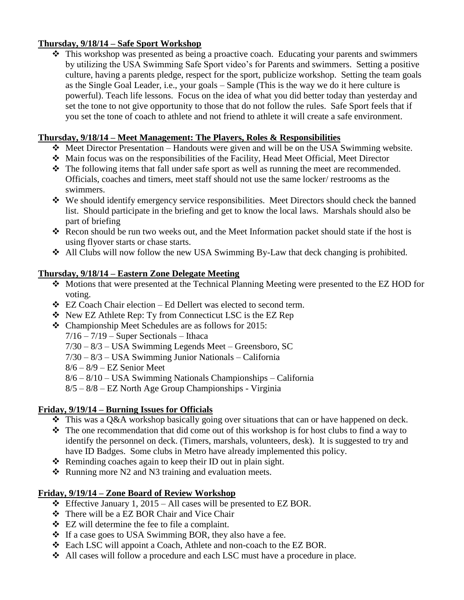### **Thursday, 9/18/14 – Safe Sport Workshop**

 $\hat{\cdot}$  This workshop was presented as being a proactive coach. Educating your parents and swimmers by utilizing the USA Swimming Safe Sport video's for Parents and swimmers. Setting a positive culture, having a parents pledge, respect for the sport, publicize workshop. Setting the team goals as the Single Goal Leader, i.e., your goals – Sample (This is the way we do it here culture is powerful). Teach life lessons. Focus on the idea of what you did better today than yesterday and set the tone to not give opportunity to those that do not follow the rules. Safe Sport feels that if you set the tone of coach to athlete and not friend to athlete it will create a safe environment.

#### **Thursday, 9/18/14 – Meet Management: The Players, Roles & Responsibilities**

- $\triangleleft$  Meet Director Presentation Handouts were given and will be on the USA Swimming website.
- Main focus was on the responsibilities of the Facility, Head Meet Official, Meet Director
- The following items that fall under safe sport as well as running the meet are recommended. Officials, coaches and timers, meet staff should not use the same locker/ restrooms as the swimmers.
- We should identify emergency service responsibilities. Meet Directors should check the banned list. Should participate in the briefing and get to know the local laws. Marshals should also be part of briefing
- Recon should be run two weeks out, and the Meet Information packet should state if the host is using flyover starts or chase starts.
- All Clubs will now follow the new USA Swimming By-Law that deck changing is prohibited.

### **Thursday, 9/18/14 – Eastern Zone Delegate Meeting**

- Motions that were presented at the Technical Planning Meeting were presented to the EZ HOD for voting.
- $\triangleleft$  EZ Coach Chair election Ed Dellert was elected to second term.
- New EZ Athlete Rep: Ty from Connecticut LSC is the EZ Rep
- Championship Meet Schedules are as follows for 2015:

 $7/16 - 7/19$  – Super Sectionals – Ithaca

7/30 – 8/3 – USA Swimming Legends Meet – Greensboro, SC

7/30 – 8/3 – USA Swimming Junior Nationals – California

 $8/6 - 8/9 - EZ$  Senior Meet

8/6 – 8/10 – USA Swimming Nationals Championships – California

8/5 – 8/8 – EZ North Age Group Championships - Virginia

# **Friday, 9/19/14 – Burning Issues for Officials**

- This was a Q&A workshop basically going over situations that can or have happened on deck.
- $\hat{\cdot}$  The one recommendation that did come out of this workshop is for host clubs to find a way to identify the personnel on deck. (Timers, marshals, volunteers, desk). It is suggested to try and have ID Badges. Some clubs in Metro have already implemented this policy.
- $\triangle$  Reminding coaches again to keep their ID out in plain sight.
- $\triangle$  Running more N2 and N3 training and evaluation meets.

# **Friday, 9/19/14 – Zone Board of Review Workshop**

- $\div$  Effective January 1, 2015 All cases will be presented to EZ BOR.
- There will be a EZ BOR Chair and Vice Chair
- EZ will determine the fee to file a complaint.
- $\div$  If a case goes to USA Swimming BOR, they also have a fee.
- Each LSC will appoint a Coach, Athlete and non-coach to the EZ BOR.
- All cases will follow a procedure and each LSC must have a procedure in place.